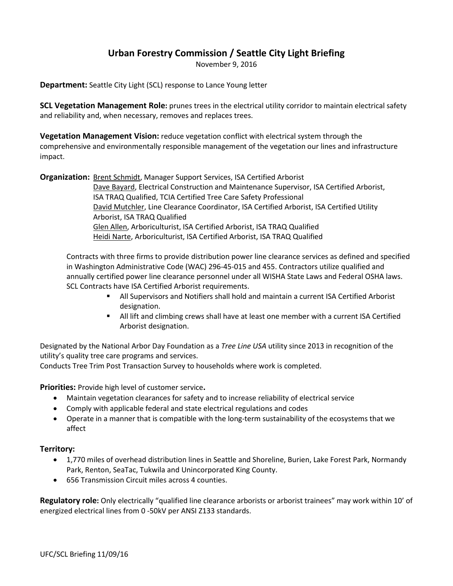# **Urban Forestry Commission / Seattle City Light Briefing**

November 9, 2016

**Department:** Seattle City Light (SCL) response to Lance Young letter

**SCL Vegetation Management Role:** prunes trees in the electrical utility corridor to maintain electrical safety and reliability and, when necessary, removes and replaces trees.

**Vegetation Management Vision:** reduce vegetation conflict with electrical system through the comprehensive and environmentally responsible management of the vegetation our lines and infrastructure impact.

**Organization:** Brent Schmidt, Manager Support Services, ISA Certified Arborist

Dave Bayard, Electrical Construction and Maintenance Supervisor, ISA Certified Arborist, ISA TRAQ Qualified, TCIA Certified Tree Care Safety Professional David Mutchler, Line Clearance Coordinator, ISA Certified Arborist, ISA Certified Utility Arborist, ISA TRAQ Qualified Glen Allen, Arboriculturist, ISA Certified Arborist, ISA TRAQ Qualified Heidi Narte, Arboriculturist, ISA Certified Arborist, ISA TRAQ Qualified

Contracts with three firms to provide distribution power line clearance services as defined and specified in Washington Administrative Code (WAC) 296-45-015 and 455. Contractors utilize qualified and annually certified power line clearance personnel under all WISHA State Laws and Federal OSHA laws. SCL Contracts have ISA Certified Arborist requirements.

- All Supervisors and Notifiers shall hold and maintain a current ISA Certified Arborist designation.
- All lift and climbing crews shall have at least one member with a current ISA Certified Arborist designation.

Designated by the National Arbor Day Foundation as a *Tree Line USA* utility since 2013 in recognition of the utility's quality tree care programs and services.

Conducts Tree Trim Post Transaction Survey to households where work is completed.

**Priorities:** Provide high level of customer service**.**

- Maintain vegetation clearances for safety and to increase reliability of electrical service
- Comply with applicable federal and state electrical regulations and codes
- Operate in a manner that is compatible with the long-term sustainability of the ecosystems that we affect

#### **Territory:**

- 1,770 miles of overhead distribution lines in Seattle and Shoreline, Burien, Lake Forest Park, Normandy Park, Renton, SeaTac, Tukwila and Unincorporated King County.
- 656 Transmission Circuit miles across 4 counties.

**Regulatory role:** Only electrically "qualified line clearance arborists or arborist trainees" may work within 10' of energized electrical lines from 0 -50kV per ANSI Z133 standards.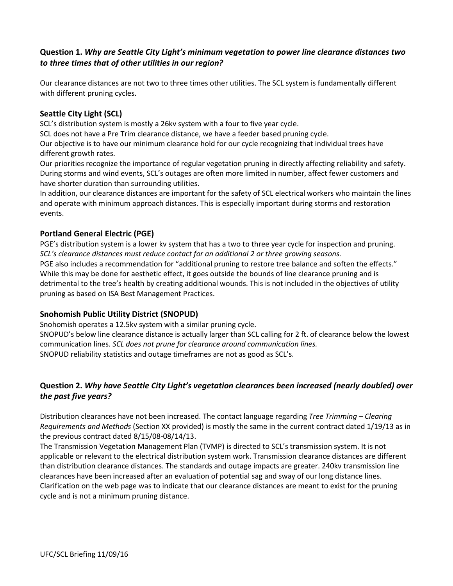# **Question 1.** *Why are Seattle City Light's minimum vegetation to power line clearance distances two to three times that of other utilities in our region?*

Our clearance distances are not two to three times other utilities. The SCL system is fundamentally different with different pruning cycles.

### **Seattle City Light (SCL)**

SCL's distribution system is mostly a 26kv system with a four to five year cycle.

SCL does not have a Pre Trim clearance distance, we have a feeder based pruning cycle.

Our objective is to have our minimum clearance hold for our cycle recognizing that individual trees have different growth rates.

Our priorities recognize the importance of regular vegetation pruning in directly affecting reliability and safety. During storms and wind events, SCL's outages are often more limited in number, affect fewer customers and have shorter duration than surrounding utilities.

In addition, our clearance distances are important for the safety of SCL electrical workers who maintain the lines and operate with minimum approach distances. This is especially important during storms and restoration events.

### **Portland General Electric (PGE)**

PGE's distribution system is a lower kv system that has a two to three year cycle for inspection and pruning. *SCL's clearance distances must reduce contact for an additional 2 or three growing seasons.*  PGE also includes a recommendation for "additional pruning to restore tree balance and soften the effects." While this may be done for aesthetic effect, it goes outside the bounds of line clearance pruning and is detrimental to the tree's health by creating additional wounds. This is not included in the objectives of utility pruning as based on ISA Best Management Practices.

#### **Snohomish Public Utility District (SNOPUD)**

Snohomish operates a 12.5kv system with a similar pruning cycle.

SNOPUD's below line clearance distance is actually larger than SCL calling for 2 ft. of clearance below the lowest communication lines. *SCL does not prune for clearance around communication lines.*  SNOPUD reliability statistics and outage timeframes are not as good as SCL's.

# **Question 2.** *Why have Seattle City Light's vegetation clearances been increased (nearly doubled) over the past five years?*

Distribution clearances have not been increased. The contact language regarding *Tree Trimming – Clearing Requirements and Methods* (Section XX provided) is mostly the same in the current contract dated 1/19/13 as in the previous contract dated 8/15/08-08/14/13.

The Transmission Vegetation Management Plan (TVMP) is directed to SCL's transmission system. It is not applicable or relevant to the electrical distribution system work. Transmission clearance distances are different than distribution clearance distances. The standards and outage impacts are greater. 240kv transmission line clearances have been increased after an evaluation of potential sag and sway of our long distance lines. Clarification on the web page was to indicate that our clearance distances are meant to exist for the pruning cycle and is not a minimum pruning distance.